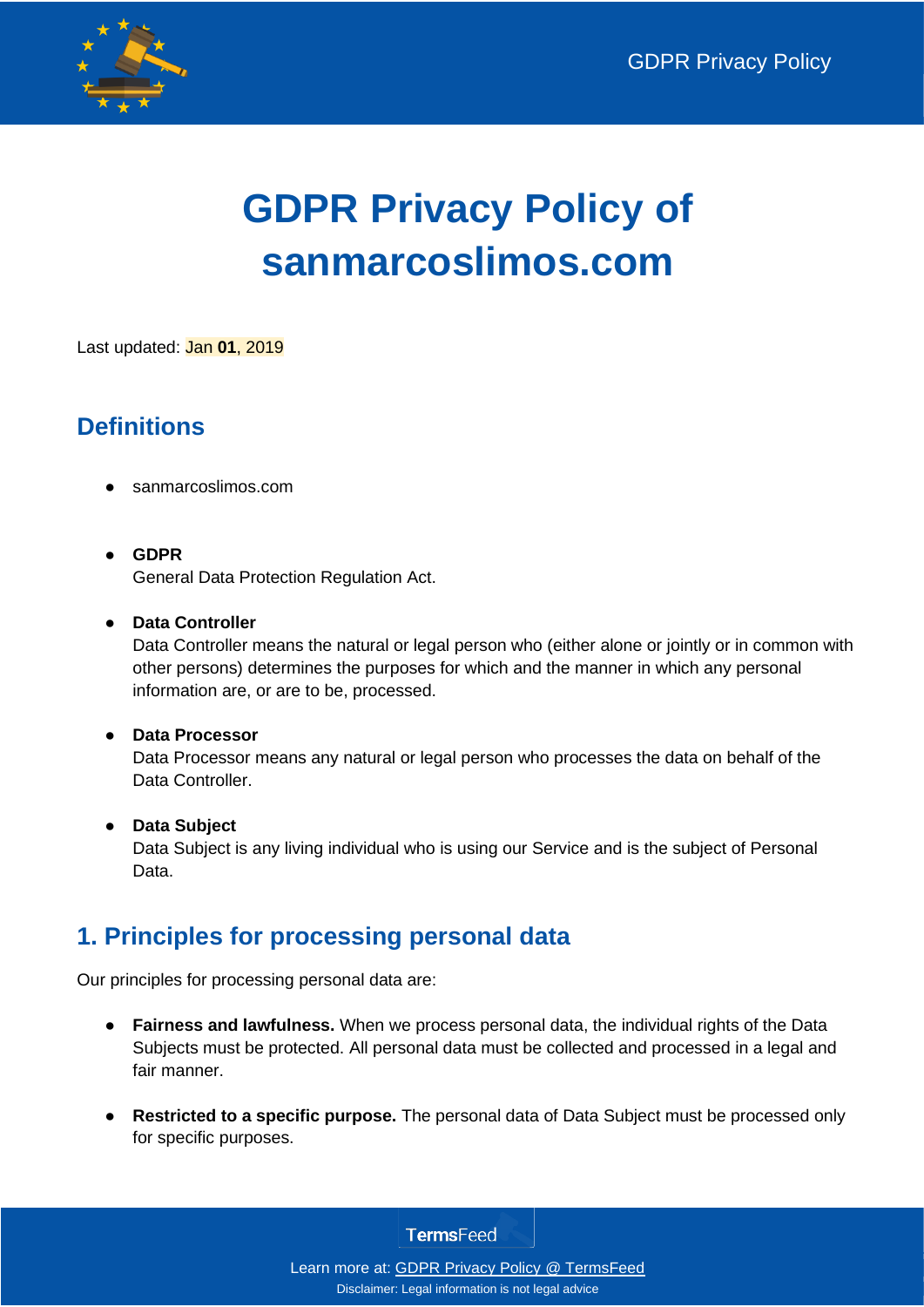

# **GDPR Privacy Policy of sanmarcoslimos.com**

Last updated: Jan **01**, 2019

# **Definitions**

- sanmarcoslimos.com
- **GDPR** General Data Protection Regulation Act.

#### ● **Data Controller**

Data Controller means the natural or legal person who (either alone or jointly or in common with other persons) determines the purposes for which and the manner in which any personal information are, or are to be, processed.

#### ● **Data Processor**

Data Processor means any natural or legal person who processes the data on behalf of the Data Controller.

#### ● **Data Subject**

Data Subject is any living individual who is using our Service and is the subject of Personal Data.

### **1. Principles for processing personal data**

Our principles for processing personal data are:

- **Fairness and lawfulness.** When we process personal data, the individual rights of the Data Subjects must be protected. All personal data must be collected and processed in a legal and fair manner.
- **Restricted to a specific purpose.** The personal data of Data Subject must be processed only for specific purposes.

**TermsFeed**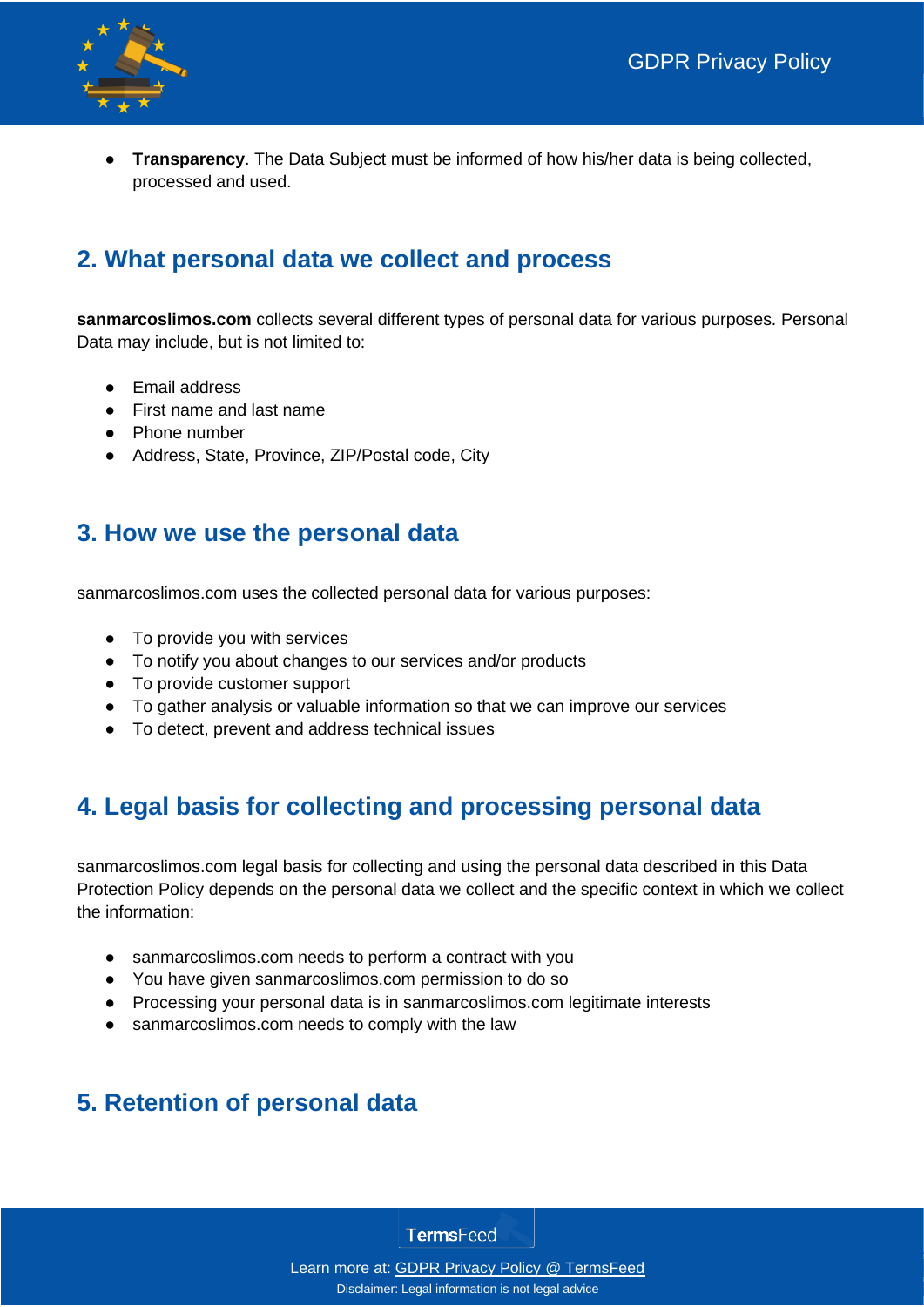

**Transparency**. The Data Subject must be informed of how his/her data is being collected, processed and used.

## **2. What personal data we collect and process**

**sanmarcoslimos.com** collects several different types of personal data for various purposes. Personal Data may include, but is not limited to:

- Email address
- First name and last name
- Phone number
- Address, State, Province, ZIP/Postal code, City

#### **3. How we use the personal data**

sanmarcoslimos.com uses the collected personal data for various purposes:

- To provide you with services
- To notify you about changes to our services and/or products
- To provide customer support
- To gather analysis or valuable information so that we can improve our services
- To detect, prevent and address technical issues

# **4. Legal basis for collecting and processing personal data**

sanmarcoslimos.com legal basis for collecting and using the personal data described in this Data Protection Policy depends on the personal data we collect and the specific context in which we collect the information:

- sanmarcoslimos.com needs to perform a contract with you
- You have given sanmarcoslimos.com permission to do so
- Processing your personal data is in sanmarcoslimos.com legitimate interests
- sanmarcoslimos.com needs to comply with the law

## **5. Retention of personal data**

**TermsFeed**